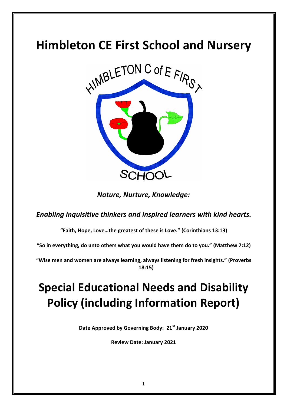## **Himbleton CE First School and Nursery**



*Nature, Nurture, Knowledge:*

**Enabling inquisitive thinkers and inspired learners with kind hearts.** 

"Faith, Hope, Love...the greatest of these is Love." (Corinthians 13:13)

"So in everything, do unto others what you would have them do to you." (Matthew 7:12)

"Wise men and women are always learning, always listening for fresh insights." (Proverbs **18:15)**

# **Special Educational Needs and Disability Policy (including Information Report)**

Date Approved by Governing Body:  $21^{st}$  January 2020

**Review Date: January 2021**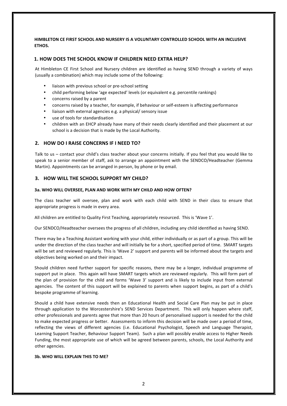### **HIMBLETON CE FIRST SCHOOL AND NURSERY IS A VOLUNTARY CONTROLLED SCHOOL WITH AN INCLUSIVE ETHOS.**

#### **1. HOW DOES THE SCHOOL KNOW IF CHILDREN NEED EXTRA HELP?**

At Himbleton CE First School and Nursery children are identified as having SEND through a variety of ways (usually a combination) which may include some of the following:

- liaison with previous school or pre-school setting
- child performing below 'age expected' levels (or equivalent e.g. percentile rankings)
- concerns raised by a parent
- concerns raised by a teacher, for example, if behaviour or self-esteem is affecting performance
- liaison with external agencies e.g. a physical/ sensory issue
- use of tools for standardisation
- children with an EHCP already have many of their needs clearly identified and their placement at our school is a decision that is made by the Local Authority.

### **2. HOW DO I RAISE CONCERNS IF I NEED TO?**

Talk to us – contact your child's class teacher about your concerns initially. If you feel that you would like to speak to a senior member of staff, ask to arrange an appointment with the SENDCO/Headteacher (Gemma Martin). Appointments can be arranged in person, by phone or by email.

#### **3. HOW WILL THE SCHOOL SUPPORT MY CHILD?**

#### **3a. WHO WILL OVERSEE, PLAN AND WORK WITH MY CHILD AND HOW OFTEN?**

The class teacher will oversee, plan and work with each child with SEND in their class to ensure that appropriate progress is made in every area.

All children are entitled to Quality First Teaching, appropriately resourced. This is 'Wave 1'.

Our SENDCO/Headteacher oversees the progress of all children, including any child identified as having SEND.

There may be a Teaching Assistant working with your child, either individually or as part of a group. This will be under the direction of the class teacher and will initially be for a short, specified period of time. SMART targets will be set and reviewed regularly. This is 'Wave 2' support and parents will be informed about the targets and objectives being worked on and their impact.

Should children need further support for specific reasons, there may be a longer, individual programme of support put in place. This again will have SMART targets which are reviewed regularly. This will form part of the plan of provision for the child and forms 'Wave 3' support and is likely to include input from external agencies. The content of this support will be explained to parents when support begins, as part of a child's bespoke programme of learning.

Should a child have extensive needs then an Educational Health and Social Care Plan may be put in place through application to the Worcestershire's SEND Services Department. This will only happen where staff, other professionals and parents agree that more than 20 hours of personalised support is needed for the child to make expected progress or better. Assessments to inform this decision will be made over a period of time, reflecting the views of different agencies (i.e. Educational Psychologist, Speech and Language Therapist, Learning Support Teacher, Behaviour Support Team). Such a plan will possibly enable access to Higher Needs Funding, the most appropriate use of which will be agreed between parents, schools, the Local Authority and other agencies.

#### **3b. WHO WILL EXPLAIN THIS TO ME?**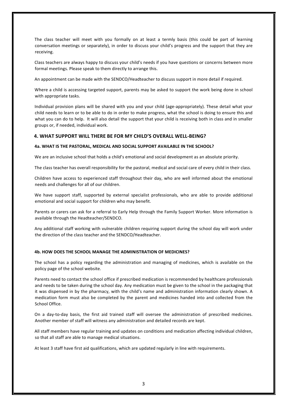The class teacher will meet with you formally on at least a termly basis (this could be part of learning conversation meetings or separately), in order to discuss your child's progress and the support that they are receiving.

Class teachers are always happy to discuss your child's needs if you have questions or concerns between more formal meetings. Please speak to them directly to arrange this.

An appointment can be made with the SENDCO/Headteacher to discuss support in more detail if required.

Where a child is accessing targeted support, parents may be asked to support the work being done in school with appropriate tasks.

Individual provision plans will be shared with you and your child (age-appropriately). These detail what your child needs to learn or to be able to do in order to make progress, what the school is doing to ensure this and what you can do to help. It will also detail the support that your child is receiving both in class and in smaller groups or, if needed, individual work.

#### **4. WHAT SUPPORT WILL THERE BE FOR MY CHILD'S OVERALL WELL-BEING?**

#### **4a. WHAT IS THE PASTORAL, MEDICAL AND SOCIAL SUPPORT AVAILABLE IN THE SCHOOL?**

We are an inclusive school that holds a child's emotional and social development as an absolute priority.

The class teacher has overall responsibility for the pastoral, medical and social care of every child in their class.

Children have access to experienced staff throughout their day, who are well informed about the emotional needs and challenges for all of our children.

We have support staff, supported by external specialist professionals, who are able to provide additional emotional and social support for children who may benefit.

Parents or carers can ask for a referral to Early Help through the Family Support Worker. More information is available through the Headteacher/SENDCO.

Any additional staff working with vulnerable children requiring support during the school day will work under the direction of the class teacher and the SENDCO/Headteacher.

#### **4b. HOW DOES THE SCHOOL MANAGE THE ADMINISTRATION OF MEDICINES?**

The school has a policy regarding the administration and managing of medicines, which is available on the policy page of the school website.

Parents need to contact the school office if prescribed medication is recommended by healthcare professionals and needs to be taken during the school day. Any medication must be given to the school in the packaging that it was dispensed in by the pharmacy, with the child's name and administration information clearly shown. A medication form must also be completed by the parent and medicines handed into and collected from the School Office.

On a day-to-day basis, the first aid trained staff will oversee the administration of prescribed medicines. Another member of staff will witness any administration and detailed records are kept.

All staff members have regular training and updates on conditions and medication affecting individual children, so that all staff are able to manage medical situations.

At least 3 staff have first aid qualifications, which are updated regularly in line with requirements.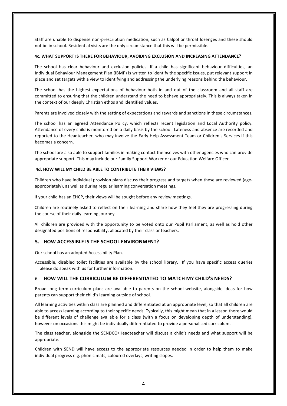Staff are unable to dispense non-prescription medication, such as Calpol or throat lozenges and these should not be in school. Residential visits are the only circumstance that this will be permissible.

#### **4c. WHAT SUPPORT IS THERE FOR BEHAVIOUR, AVOIDING EXCLUSION AND INCREASING ATTENDANCE?**

The school has clear behaviour and exclusion policies. If a child has significant behaviour difficulties, an Individual Behaviour Management Plan (IBMP) is written to identify the specific issues, put relevant support in place and set targets with a view to identifying and addressing the underlying reasons behind the behaviour.

The school has the highest expectations of behaviour both in and out of the classroom and all staff are committed to ensuring that the children understand the need to behave appropriately. This is always taken in the context of our deeply Christian ethos and identified values.

Parents are involved closely with the setting of expectations and rewards and sanctions in these circumstances.

The school has an agreed Attendance Policy, which reflects recent legislation and Local Authority policy. Attendance of every child is monitored on a daily basis by the school. Lateness and absence are recorded and reported to the Headteacher, who may involve the Early Help Assessment Team or Children's Services if this becomes a concern. 

The school are also able to support families in making contact themselves with other agencies who can provide appropriate support. This may include our Family Support Worker or our Education Welfare Officer.

#### **4d. HOW WILL MY CHILD BE ABLE TO CONTRIBUTE THEIR VIEWS?**

Children who have individual provision plans discuss their progress and targets when these are reviewed (ageappropriately), as well as during regular learning conversation meetings.

If your child has an EHCP, their views will be sought before any review meetings.

Children are routinely asked to reflect on their learning and share how they feel they are progressing during the course of their daily learning journey.

All children are provided with the opportunity to be voted onto our Pupil Parliament, as well as hold other designated positions of responsibility, allocated by their class or teachers.

#### **5. HOW ACCESSIBLE IS THE SCHOOL ENVIRONMENT?**

Our school has an adopted Accessibility Plan.

Accessible, disabled toilet facilities are available by the school library. If you have specific access queries please do speak with us for further information.

#### 6. **HOW WILL THE CURRICULUM BE DIFFERENTIATED TO MATCH MY CHILD'S NEEDS?**

Broad long term curriculum plans are available to parents on the school website, alongside ideas for how parents can support their child's learning outside of school.

All learning activities within class are planned and differentiated at an appropriate level, so that all children are able to access learning according to their specific needs. Typically, this might mean that in a lesson there would be different levels of challenge available for a class (with a focus on developing depth of understanding), however on occasions this might be individually differentiated to provide a personalised curriculum.

The class teacher, alongside the SENDCO/Headteacher will discuss a child's needs and what support will be appropriate.

Children with SEND will have access to the appropriate resources needed in order to help them to make individual progress e.g. phonic mats, coloured overlays, writing slopes.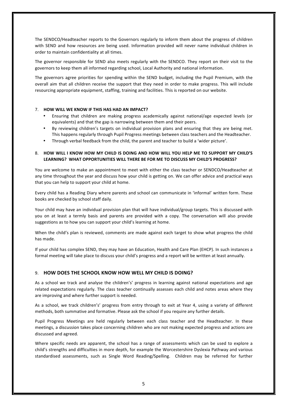The SENDCO/Headteacher reports to the Governors regularly to inform them about the progress of children with SEND and how resources are being used. Information provided will never name individual children in order to maintain confidentiality at all times.

The governor responsible for SEND also meets regularly with the SENDCO. They report on their visit to the governors to keep them all informed regarding school, Local Authority and national information.

The governors agree priorities for spending within the SEND budget, including the Pupil Premium, with the overall aim that all children receive the support that they need in order to make progress. This will include resourcing appropriate equipment, staffing, training and facilities. This is reported on our website.

#### 7. **HOW WILL WE KNOW IF THIS HAS HAD AN IMPACT?**

- Ensuring that children are making progress academically against national/age expected levels (or equivalents) and that the gap is narrowing between them and their peers.
- By reviewing children's targets on individual provision plans and ensuring that they are being met. This happens regularly through Pupil Progress meetings between class teachers and the Headteacher.
- Through verbal feedback from the child, the parent and teacher to build a 'wider picture'.

#### 8. **HOW WILL I KNOW HOW MY CHILD IS DOING AND HOW WILL YOU HELP ME TO SUPPORT MY CHILD'S** LEARNING? WHAT OPPORTUNITIES WILL THERE BE FOR ME TO DISCUSS MY CHILD'S PROGRESS?

You are welcome to make an appointment to meet with either the class teacher or SENDCO/Headteacher at any time throughout the year and discuss how your child is getting on. We can offer advice and practical ways that you can help to support your child at home.

Every child has a Reading Diary where parents and school can communicate in 'informal' written form. These books are checked by school staff daily.

Your child may have an individual provision plan that will have individual/group targets. This is discussed with you on at least a termly basis and parents are provided with a copy. The conversation will also provide suggestions as to how you can support your child's learning at home.

When the child's plan is reviewed, comments are made against each target to show what progress the child has made.

If your child has complex SEND, they may have an Education, Health and Care Plan (EHCP). In such instances a formal meeting will take place to discuss your child's progress and a report will be written at least annually.

### 9 **HOW DOES THE SCHOOL KNOW HOW WELL MY CHILD IS DOING?**

As a school we track and analyse the children's' progress in learning against national expectations and age related expectations regularly. The class teacher continually assesses each child and notes areas where they are improving and where further support is needed.

As a school, we track children's' progress from entry through to exit at Year 4, using a variety of different methods, both summative and formative. Please ask the school if you require any further details.

Pupil Progress Meetings are held regularly between each class teacher and the Headteacher. In these meetings, a discussion takes place concerning children who are not making expected progress and actions are discussed and agreed.

Where specific needs are apparent, the school has a range of assessments which can be used to explore a child's strengths and difficulties in more depth, for example the Worcestershire Dyslexia Pathway and various standardised assessments, such as Single Word Reading/Spelling. Children may be referred for further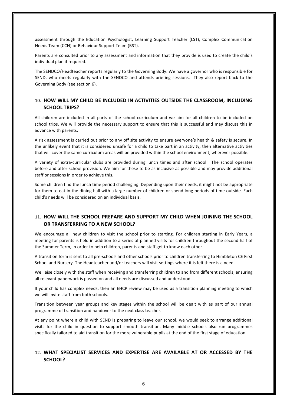assessment through the Education Psychologist, Learning Support Teacher (LST), Complex Communication Needs Team (CCN) or Behaviour Support Team (BST).

Parents are consulted prior to any assessment and information that they provide is used to create the child's individual plan if required.

The SENDCO/Headteacher reports regularly to the Governing Body. We have a governor who is responsible for SEND, who meets regularly with the SENDCO and attends briefing sessions. They also report back to the Governing Body (see section 6).

## 10. **HOW WILL MY CHILD BE INCLUDED IN ACTIVITIES OUTSIDE THE CLASSROOM, INCLUDING SCHOOL TRIPS?**

All children are included in all parts of the school curriculum and we aim for all children to be included on school trips. We will provide the necessary support to ensure that this is successful and may discuss this in advance with parents.

A risk assessment is carried out prior to any off site activity to ensure everyone's health & safety is secure. In the unlikely event that it is considered unsafe for a child to take part in an activity, then alternative activities that will cover the same curriculum areas will be provided within the school environment, wherever possible.

A variety of extra-curricular clubs are provided during lunch times and after school. The school operates before and after-school provision. We aim for these to be as inclusive as possible and may provide additional staff or sessions in order to achieve this.

Some children find the lunch time period challenging. Depending upon their needs, it might not be appropriate for them to eat in the dining hall with a large number of children or spend long periods of time outside. Each child's needs will be considered on an individual basis.

## 11. **HOW WILL THE SCHOOL PREPARE AND SUPPORT MY CHILD WHEN JOINING THE SCHOOL OR TRANSFERRING TO A NEW SCHOOL?**

We encourage all new children to visit the school prior to starting. For children starting in Early Years, a meeting for parents is held in addition to a series of planned visits for children throughout the second half of the Summer Term, in order to help children, parents and staff get to know each other.

A transition form is sent to all pre-schools and other schools prior to children transferring to Himbleton CE First School and Nursery. The Headteacher and/or teachers will visit settings where it is felt there is a need.

We liaise closely with the staff when receiving and transferring children to and from different schools, ensuring all relevant paperwork is passed on and all needs are discussed and understood.

If your child has complex needs, then an EHCP review may be used as a transition planning meeting to which we will invite staff from both schools.

Transition between year groups and key stages within the school will be dealt with as part of our annual programme of transition and handover to the next class teacher.

At any point where a child with SEND is preparing to leave our school, we would seek to arrange additional visits for the child in question to support smooth transition. Many middle schools also run programmes specifically tailored to aid transition for the more vulnerable pupils at the end of the first stage of education.

## 12. WHAT SPECIALIST SERVICES AND EXPERTISE ARE AVAILABLE AT OR ACCESSED BY THE SCHOOL?